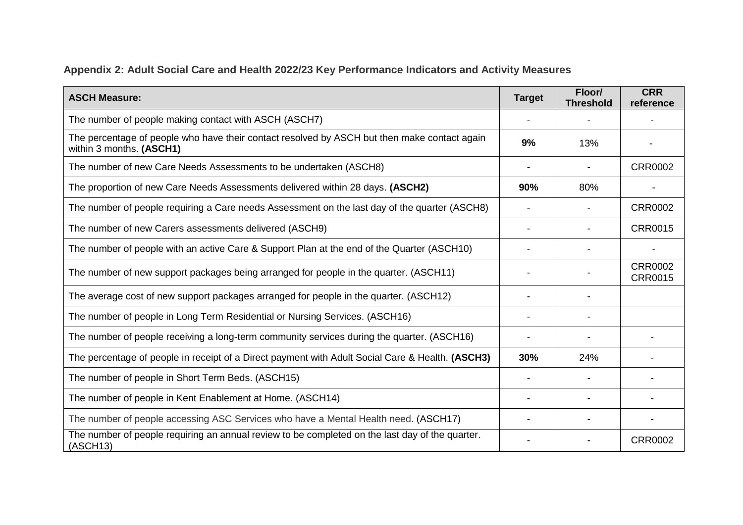## **Appendix 2: Adult Social Care and Health 2022/23 Key Performance Indicators and Activity Measures**

| <b>ASCH Measure:</b>                                                                                                     | <b>Target</b> | Floor/<br><b>Threshold</b> | <b>CRR</b><br>reference          |
|--------------------------------------------------------------------------------------------------------------------------|---------------|----------------------------|----------------------------------|
| The number of people making contact with ASCH (ASCH7)                                                                    |               |                            |                                  |
| The percentage of people who have their contact resolved by ASCH but then make contact again<br>within 3 months. (ASCH1) | 9%            | 13%                        |                                  |
| The number of new Care Needs Assessments to be undertaken (ASCH8)                                                        |               |                            | <b>CRR0002</b>                   |
| The proportion of new Care Needs Assessments delivered within 28 days. (ASCH2)                                           | 90%           | 80%                        |                                  |
| The number of people requiring a Care needs Assessment on the last day of the quarter (ASCH8)                            |               |                            | <b>CRR0002</b>                   |
| The number of new Carers assessments delivered (ASCH9)                                                                   |               |                            | <b>CRR0015</b>                   |
| The number of people with an active Care & Support Plan at the end of the Quarter (ASCH10)                               |               |                            |                                  |
| The number of new support packages being arranged for people in the quarter. (ASCH11)                                    |               |                            | <b>CRR0002</b><br><b>CRR0015</b> |
| The average cost of new support packages arranged for people in the quarter. (ASCH12)                                    |               |                            |                                  |
| The number of people in Long Term Residential or Nursing Services. (ASCH16)                                              |               |                            |                                  |
| The number of people receiving a long-term community services during the quarter. (ASCH16)                               |               |                            |                                  |
| The percentage of people in receipt of a Direct payment with Adult Social Care & Health. (ASCH3)                         | 30%           | 24%                        |                                  |
| The number of people in Short Term Beds. (ASCH15)                                                                        |               |                            |                                  |
| The number of people in Kent Enablement at Home. (ASCH14)                                                                |               |                            |                                  |
| The number of people accessing ASC Services who have a Mental Health need. (ASCH17)                                      |               |                            |                                  |
| The number of people requiring an annual review to be completed on the last day of the quarter.<br>(ASCII13)             |               |                            | <b>CRR0002</b>                   |